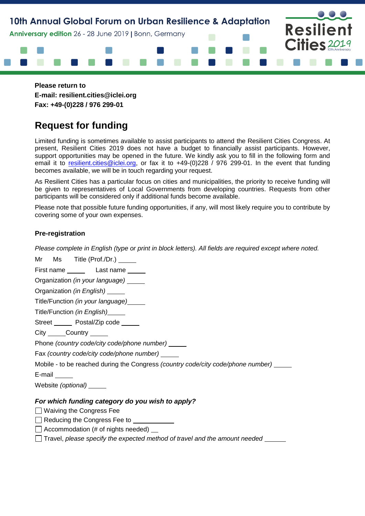

**Please return to E-mail: resilient.cities@iclei.org Fax: +49-(0)228 / 976 299-01**

# **Request for funding**

Limited funding is sometimes available to assist participants to attend the Resilient Cities Congress. At present, Resilient Cities 2019 does not have a budget to financially assist participants. However, support opportunities may be opened in the future. We kindly ask you to fill in the following form and email it to [resilient.cities@iclei.org,](mailto:resilient.cities@iclei.org) or fax it to +49-(0)228 / 976 299-01. In the event that funding becomes available, we will be in touch regarding your request.

As Resilient Cities has a particular focus on cities and municipalities, the priority to receive funding will be given to representatives of Local Governments from developing countries. Requests from other participants will be considered only if additional funds become available.

Please note that possible future funding opportunities, if any, will most likely require you to contribute by covering some of your own expenses.

# **Pre-registration**

*Please complete in English (type or print in block letters). All fields are required except where noted.*

Mr Ms Title (Prof./Dr.) \_\_\_\_\_\_

First name \_\_\_\_\_\_\_ Last name \_\_\_\_\_

Organization *(in your language)* 

Organization *(in English)* 

Title/Function *(in your language)*

Title/Function *(in English)*

Street Postal/Zip code

City Country

Phone *(country code/city code/phone number)*

Fax *(country code/city code/phone number)*

Mobile - to be reached during the Congress *(country code/city code/phone number)*

E-mail

Website *(optional)*

## *For which funding category do you wish to apply?*

Waiving the Congress Fee

Reducing the Congress Fee to

 $\Box$  Accommodation (# of nights needed)  $\Box$ 

Travel, *please specify the expected method of travel and the amount needed*